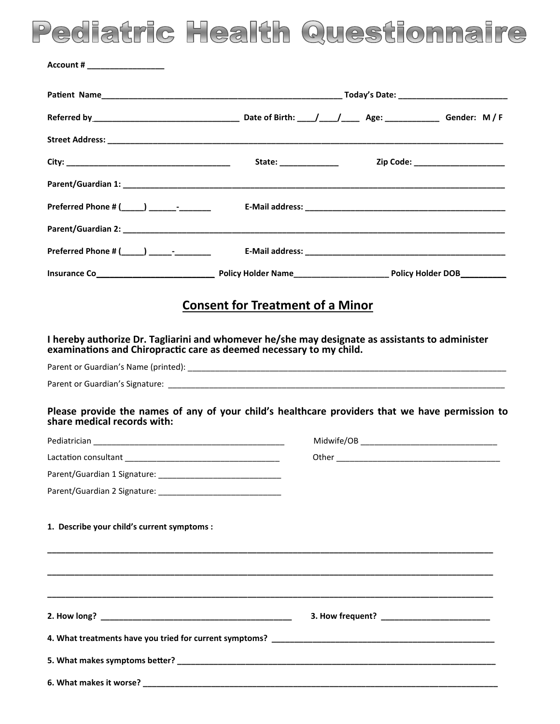## Pediatric Health Questionnaire

| Account # ____________________                                                                                                                                         |                                         |                                   |
|------------------------------------------------------------------------------------------------------------------------------------------------------------------------|-----------------------------------------|-----------------------------------|
|                                                                                                                                                                        |                                         |                                   |
|                                                                                                                                                                        |                                         |                                   |
|                                                                                                                                                                        |                                         |                                   |
|                                                                                                                                                                        | State: _______________                  | Zip Code: _______________________ |
|                                                                                                                                                                        |                                         |                                   |
|                                                                                                                                                                        |                                         |                                   |
|                                                                                                                                                                        |                                         |                                   |
|                                                                                                                                                                        |                                         |                                   |
|                                                                                                                                                                        |                                         |                                   |
|                                                                                                                                                                        |                                         |                                   |
|                                                                                                                                                                        | <b>Consent for Treatment of a Minor</b> |                                   |
| I hereby authorize Dr. Tagliarini and whomever he/she may designate as assistants to administer<br>examinations and Chiropractic care as deemed necessary to my child. |                                         |                                   |
|                                                                                                                                                                        |                                         |                                   |
|                                                                                                                                                                        |                                         |                                   |
| Please provide the names of any of your child's healthcare providers that we have permission to<br>share medical records with:                                         |                                         |                                   |
|                                                                                                                                                                        |                                         |                                   |
|                                                                                                                                                                        |                                         |                                   |
|                                                                                                                                                                        |                                         |                                   |
|                                                                                                                                                                        |                                         |                                   |
| 1. Describe your child's current symptoms :                                                                                                                            |                                         |                                   |
|                                                                                                                                                                        |                                         |                                   |
|                                                                                                                                                                        |                                         |                                   |
|                                                                                                                                                                        |                                         |                                   |
|                                                                                                                                                                        |                                         |                                   |
|                                                                                                                                                                        |                                         |                                   |